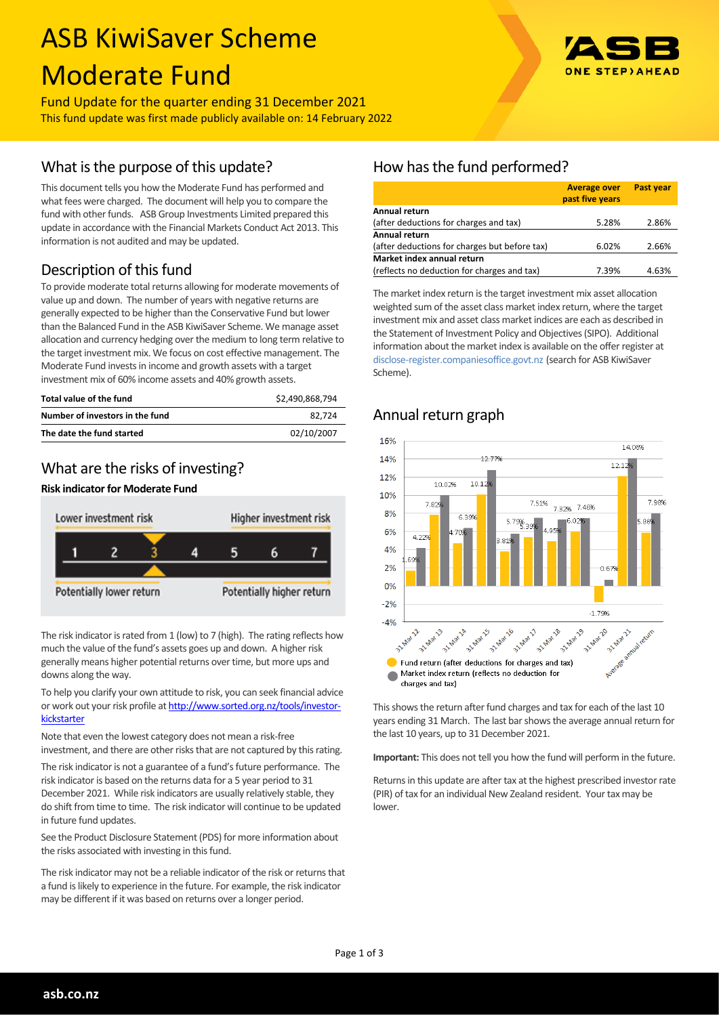# ASB KiwiSaver Scheme Moderate Fund



## Fund Update for the quarter ending 31 December 2021 This fund update was first made publicly available on: 14 February 2022

# What is the purpose of this update?

This document tells you how the Moderate Fund has performed and what fees were charged. The document will help you to compare the fund with other funds. ASB Group Investments Limited prepared this update in accordance with the Financial Markets Conduct Act 2013. This information is not audited and may be updated.

# Description of this fund

To provide moderate total returns allowing for moderate movements of value up and down. The number of years with negative returns are generally expected to be higher than the Conservative Fund but lower than the Balanced Fund in the ASB KiwiSaver Scheme. We manage asset allocation and currency hedging over the medium to long term relative to the target investment mix. We focus on cost effective management. The Moderate Fund invests in income and growth assets with a target investment mix of 60% income assets and 40% growth assets.

| Total value of the fund         | \$2.490.868.794 |
|---------------------------------|-----------------|
| Number of investors in the fund | 82.724          |
| The date the fund started       | 02/10/2007      |

## What are the risks of investing?

#### **Risk indicator for Moderate Fund**



The risk indicator is rated from 1 (low) to 7 (high). The rating reflects how much the value of the fund's assets goes up and down. A higher risk generally means higher potential returns over time, but more ups and downs along the way.

To help you clarify your own attitude to risk, you can seek financial advice or work out your risk profile at [http://www.sorted.org.nz/tools/investor](http://www.sorted.org.nz/tools/investor-kickstarter)**[kickstarter](http://www.sorted.org.nz/tools/investor-kickstarter)** 

Note that even the lowest category does not mean a risk-free investment, and there are other risks that are not captured by this rating.

The risk indicator is not a guarantee of a fund's future performance. The risk indicator is based on the returns data for a 5 year period to 31 December 2021. While risk indicators are usually relatively stable, they do shift from time to time. The risk indicator will continue to be updated in future fund updates.

See the Product Disclosure Statement (PDS) for more information about the risks associated with investing in this fund.

The risk indicator may not be a reliable indicator of the risk or returns that a fund is likely to experience in the future. For example, the risk indicator may be different if it was based on returns over a longer period.

# How has the fund performed?

|                                               | <b>Average over</b><br>past five years | Past year |  |  |  |
|-----------------------------------------------|----------------------------------------|-----------|--|--|--|
| Annual return                                 |                                        |           |  |  |  |
| (after deductions for charges and tax)        | 5.28%                                  | 2.86%     |  |  |  |
| <b>Annual return</b>                          |                                        |           |  |  |  |
| (after deductions for charges but before tax) | 6.02%                                  | 2.66%     |  |  |  |
| Market index annual return                    |                                        |           |  |  |  |
| (reflects no deduction for charges and tax)   | 7.39%                                  | 4.63%     |  |  |  |

The market index return is the target investment mix asset allocation weighted sum of the asset class market index return, where the target investment mix and asset class market indices are each as described in the Statement of Investment Policy and Objectives (SIPO). Additional information about the market index is available on the offer register at [disclose-register.companiesoffice.govt.nz](http://www.business.govt.nz/disclose/) (search for ASB KiwiSaver Scheme).

# Annual return graph



This shows the return after fund charges and tax for each of the last 10 years ending 31 March. The last bar shows the average annual return for the last 10 years, up to 31 December 2021.

**Important:** This does not tell you how the fund will perform in the future.

Returns in this update are after tax at the highest prescribed investor rate (PIR) of tax for an individual New Zealand resident. Your tax may be lower.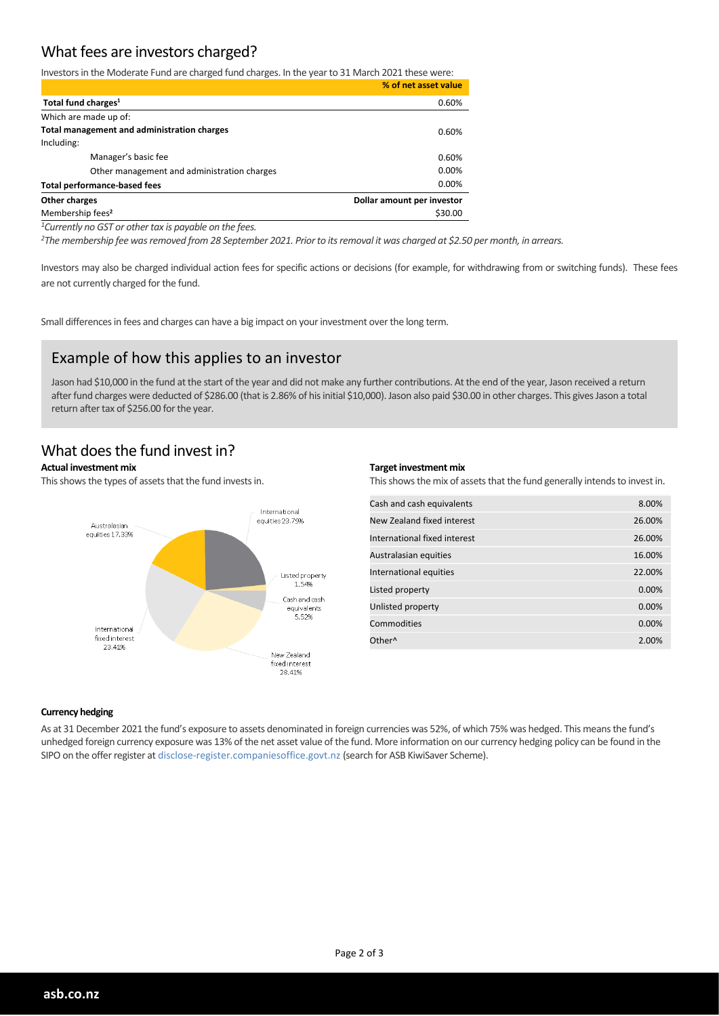# What fees are investors charged?

Investors in the Moderate Fund are charged fund charges. In the year to 31 March 2021 these were:

|                                             | % of net asset value       |
|---------------------------------------------|----------------------------|
| Total fund charges <sup>1</sup>             | 0.60%                      |
| Which are made up of:                       |                            |
| Total management and administration charges | 0.60%                      |
| Including:                                  |                            |
| Manager's basic fee                         | 0.60%                      |
| Other management and administration charges | 0.00%                      |
| <b>Total performance-based fees</b>         | 0.00%                      |
| Other charges                               | Dollar amount per investor |
| Membership fees <sup>2</sup>                | \$30.00                    |

*<sup>1</sup>Currently no GST or other tax is payable on the fees.*

*<sup>2</sup>The membership fee was removed from 28 September 2021. Prior to its removal it was charged at \$2.50 per month, in arrears.*

Investors may also be charged individual action fees for specific actions or decisions (for example, for withdrawing from or switching funds). These fees are not currently charged for the fund.

Small differences in fees and charges can have a big impact on your investment over the long term.

## Example of how this applies to an investor

Jason had \$10,000 in the fund at the start of the year and did not make any further contributions. At the end of the year, Jason received a return after fund charges were deducted of \$286.00 (that is 2.86% of his initial \$10,000). Jason also paid \$30.00 in other charges. This gives Jason a total return after tax of \$256.00 for the year.

## What does the fund invest in?

#### **Actual investment mix**

This shows the types of assets that the fund invests in.



#### **Target investment mix**

This shows the mix of assets that the fund generally intends to invest in.

| Cash and cash equivalents    | 8.00%  |
|------------------------------|--------|
| New Zealand fixed interest   | 26.00% |
| International fixed interest | 26.00% |
| Australasian equities        | 16.00% |
| International equities       | 22.00% |
| Listed property              | 0.00%  |
| Unlisted property            | 0.00%  |
| Commodities                  | 0.00%  |
| Other <sup>^</sup>           | 2.00%  |

#### **Currency hedging**

As at 31 December 2021 the fund's exposure to assets denominated in foreign currencies was 52%, of which 75% was hedged. This means the fund's unhedged foreign currency exposure was 13% of the net asset value of the fund. More information on our currency hedging policy can be found in the SIPO on the offer register at disclose-register.companiesoffice.govt.nz (search for ASB KiwiSaver Scheme).